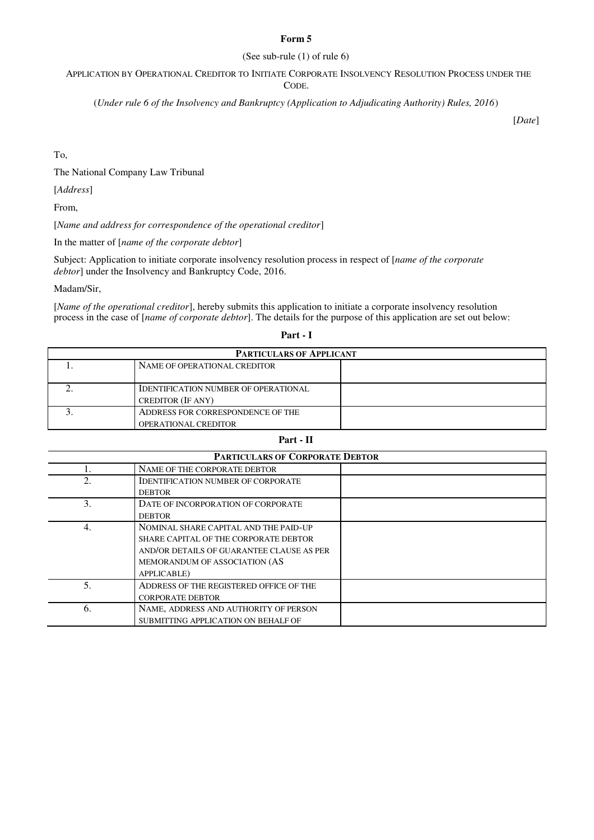## **Form 5**

## (See sub-rule (1) of rule 6)

APPLICATION BY OPERATIONAL CREDITOR TO INITIATE CORPORATE INSOLVENCY RESOLUTION PROCESS UNDER THE CODE.

(*Under rule 6 of the Insolvency and Bankruptcy (Application to Adjudicating Authority) Rules, 2016*)

[*Date*]

To,

The National Company Law Tribunal

[*Address*]

From,

[*Name and address for correspondence of the operational creditor*]

In the matter of [*name of the corporate debtor*]

Subject: Application to initiate corporate insolvency resolution process in respect of [*name of the corporate debtor*] under the Insolvency and Bankruptcy Code, 2016.

Madam/Sir,

[*Name of the operational creditor*], hereby submits this application to initiate a corporate insolvency resolution process in the case of [*name of corporate debtor*]. The details for the purpose of this application are set out below:

| × |  |
|---|--|
|---|--|

| <b>PARTICULARS OF APPLICANT</b> |                                             |  |
|---------------------------------|---------------------------------------------|--|
|                                 | NAME OF OPERATIONAL CREDITOR                |  |
|                                 |                                             |  |
|                                 | <b>IDENTIFICATION NUMBER OF OPERATIONAL</b> |  |
|                                 | <b>CREDITOR (IF ANY)</b>                    |  |
|                                 | ADDRESS FOR CORRESPONDENCE OF THE           |  |
|                                 | <b>OPERATIONAL CREDITOR</b>                 |  |

## **Part - II**

| <b>PARTICULARS OF CORPORATE DEBTOR</b> |                                           |  |
|----------------------------------------|-------------------------------------------|--|
|                                        | NAME OF THE CORPORATE DEBTOR              |  |
|                                        | <b>IDENTIFICATION NUMBER OF CORPORATE</b> |  |
|                                        | <b>DEBTOR</b>                             |  |
| 3.                                     | DATE OF INCORPORATION OF CORPORATE        |  |
|                                        | <b>DEBTOR</b>                             |  |
| 4.                                     | NOMINAL SHARE CAPITAL AND THE PAID-UP     |  |
|                                        | SHARE CAPITAL OF THE CORPORATE DEBTOR     |  |
|                                        | AND/OR DETAILS OF GUARANTEE CLAUSE AS PER |  |
|                                        | MEMORANDUM OF ASSOCIATION (AS             |  |
|                                        | APPLICABLE)                               |  |
|                                        | ADDRESS OF THE REGISTERED OFFICE OF THE   |  |
|                                        | <b>CORPORATE DEBTOR</b>                   |  |
| 6.                                     | NAME, ADDRESS AND AUTHORITY OF PERSON     |  |
|                                        | SUBMITTING APPLICATION ON BEHALF OF       |  |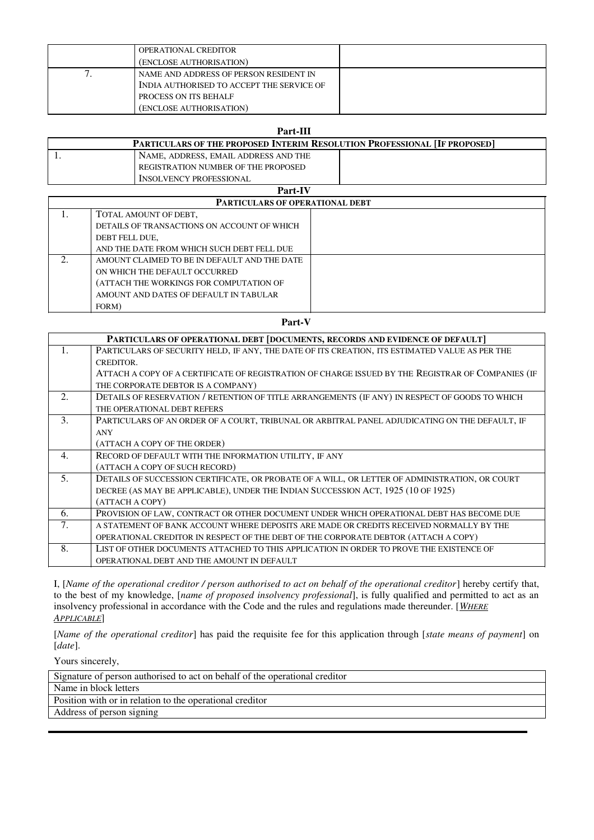| <b>OPERATIONAL CREDITOR</b>               |  |
|-------------------------------------------|--|
| (ENCLOSE AUTHORISATION)                   |  |
| NAME AND ADDRESS OF PERSON RESIDENT IN    |  |
| INDIA AUTHORISED TO ACCEPT THE SERVICE OF |  |
| PROCESS ON ITS BEHALF                     |  |
| (ENCLOSE AUTHORISATION)                   |  |

| Part-III       |                                                                                  |  |
|----------------|----------------------------------------------------------------------------------|--|
|                | <b>PARTICULARS OF THE PROPOSED INTERIM RESOLUTION PROFESSIONAL [IF PROPOSED]</b> |  |
|                | NAME, ADDRESS, EMAIL ADDRESS AND THE                                             |  |
|                | REGISTRATION NUMBER OF THE PROPOSED                                              |  |
|                | <b>INSOLVENCY PROFESSIONAL</b>                                                   |  |
| <b>Part-IV</b> |                                                                                  |  |

| <b>PARTICULARS OF OPERATIONAL DEBT</b> |                                              |  |
|----------------------------------------|----------------------------------------------|--|
|                                        | TOTAL AMOUNT OF DEBT,                        |  |
|                                        | DETAILS OF TRANSACTIONS ON ACCOUNT OF WHICH  |  |
|                                        | DEBT FELL DUE,                               |  |
|                                        | AND THE DATE FROM WHICH SUCH DEBT FELL DUE   |  |
| 2.                                     | AMOUNT CLAIMED TO BE IN DEFAULT AND THE DATE |  |
|                                        | ON WHICH THE DEFAULT OCCURRED                |  |
|                                        | (ATTACH THE WORKINGS FOR COMPUTATION OF      |  |
|                                        | AMOUNT AND DATES OF DEFAULT IN TABULAR       |  |
|                                        | FORM)                                        |  |

**Part-V** 

|               | PARTICULARS OF OPERATIONAL DEBT [DOCUMENTS, RECORDS AND EVIDENCE OF DEFAULT]                      |
|---------------|---------------------------------------------------------------------------------------------------|
| 1.            | PARTICULARS OF SECURITY HELD, IF ANY, THE DATE OF ITS CREATION, ITS ESTIMATED VALUE AS PER THE    |
|               | CREDITOR.                                                                                         |
|               | ATTACH A COPY OF A CERTIFICATE OF REGISTRATION OF CHARGE ISSUED BY THE REGISTRAR OF COMPANIES (IF |
|               | THE CORPORATE DEBTOR IS A COMPANY)                                                                |
| 2.            | DETAILS OF RESERVATION / RETENTION OF TITLE ARRANGEMENTS (IF ANY) IN RESPECT OF GOODS TO WHICH    |
|               | THE OPERATIONAL DEBT REFERS                                                                       |
| $\mathcal{E}$ | PARTICULARS OF AN ORDER OF A COURT, TRIBUNAL OR ARBITRAL PANEL ADJUDICATING ON THE DEFAULT, IF    |
|               | <b>ANY</b>                                                                                        |
|               | (ATTACH A COPY OF THE ORDER)                                                                      |
| 4.            | RECORD OF DEFAULT WITH THE INFORMATION UTILITY, IF ANY                                            |
|               | (ATTACH A COPY OF SUCH RECORD)                                                                    |
| 5.            | DETAILS OF SUCCESSION CERTIFICATE, OR PROBATE OF A WILL, OR LETTER OF ADMINISTRATION, OR COURT    |
|               | DECREE (AS MAY BE APPLICABLE), UNDER THE INDIAN SUCCESSION ACT, 1925 (10 OF 1925)                 |
|               | (ATTACH A COPY)                                                                                   |
| 6.            | PROVISION OF LAW, CONTRACT OR OTHER DOCUMENT UNDER WHICH OPERATIONAL DEBT HAS BECOME DUE          |
| 7.            | A STATEMENT OF BANK ACCOUNT WHERE DEPOSITS ARE MADE OR CREDITS RECEIVED NORMALLY BY THE           |
|               | OPERATIONAL CREDITOR IN RESPECT OF THE DEBT OF THE CORPORATE DEBTOR (ATTACH A COPY)               |
| 8.            | LIST OF OTHER DOCUMENTS ATTACHED TO THIS APPLICATION IN ORDER TO PROVE THE EXISTENCE OF           |
|               | OPERATIONAL DEBT AND THE AMOUNT IN DEFAULT                                                        |

I, [*Name of the operational creditor / person authorised to act on behalf of the operational creditor*] hereby certify that, to the best of my knowledge, [*name of proposed insolvency professional*], is fully qualified and permitted to act as an insolvency professional in accordance with the Code and the rules and regulations made thereunder. [*WHERE APPLICABLE*]

[*Name of the operational creditor*] has paid the requisite fee for this application through [*state means of payment*] on [*date*].

Yours sincerely,

| Signature of person authorised to act on behalf of the operational creditor |
|-----------------------------------------------------------------------------|
| Name in block letters                                                       |
| Position with or in relation to the operational creditor                    |
| Address of person signing                                                   |
|                                                                             |